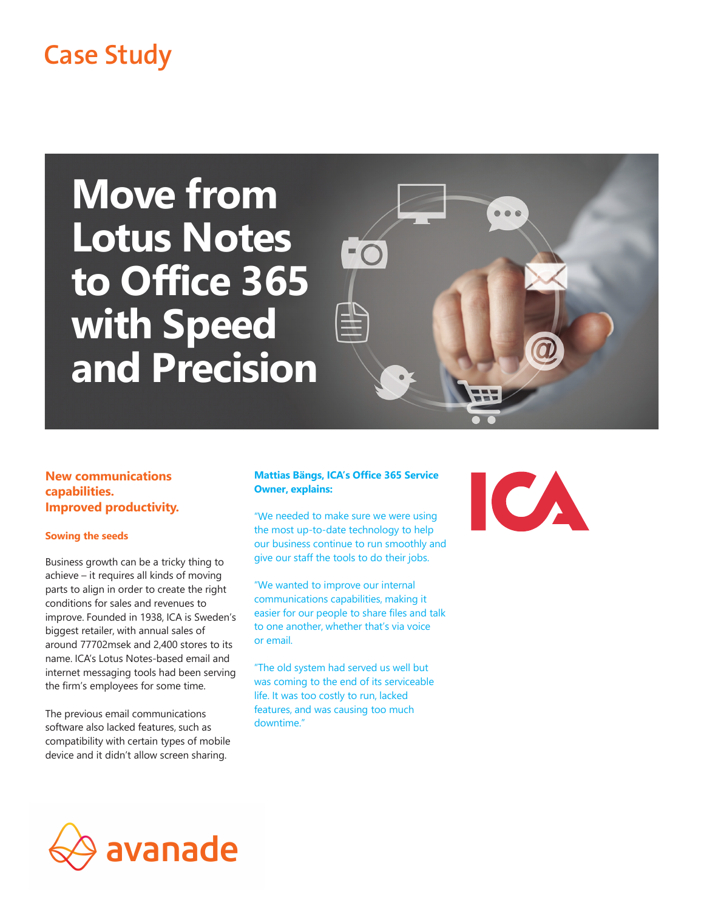## **Case Study**

# **Move from Lotus Notes to Office 365 with Speed and Precision**



**New communications capabilities. Improved productivity.**

#### **Sowing the seeds**

Business growth can be a tricky thing to achieve – it requires all kinds of moving parts to align in order to create the right conditions for sales and revenues to improve. Founded in 1938, ICA is Sweden's biggest retailer, with annual sales of around 77702msek and 2,400 stores to its name. ICA's Lotus Notes-based email and internet messaging tools had been serving the firm's employees for some time.

The previous email communications software also lacked features, such as compatibility with certain types of mobile device and it didn't allow screen sharing.

### **Mattias Bängs, ICA's Office 365 Service Owner, explains:**

"We needed to make sure we were using the most up-to-date technology to help our business continue to run smoothly and give our staff the tools to do their jobs.

"We wanted to improve our internal communications capabilities, making it easier for our people to share files and talk to one another, whether that's via voice or email.

"The old system had served us well but was coming to the end of its serviceable life. It was too costly to run, lacked features, and was causing too much downtime."